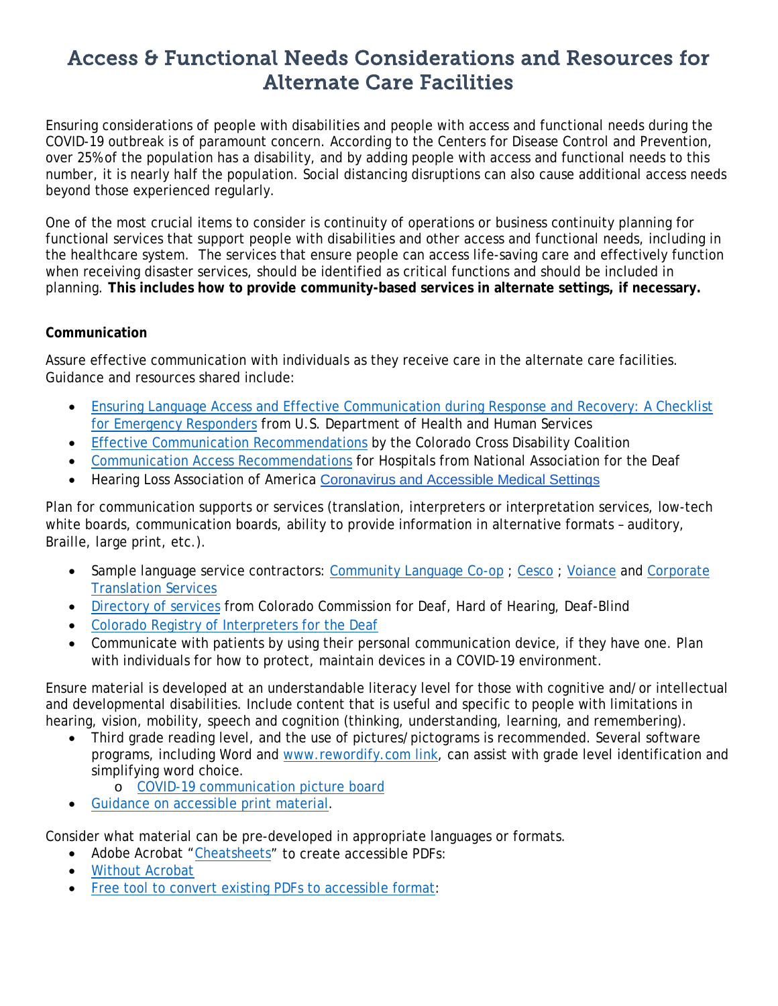# Access & Functional Needs Considerations and Resources for Alternate Care Facilities

Ensuring considerations of people with disabilities and people with access and functional needs during the COVID-19 outbreak is of paramount concern. According to the Centers for Disease Control and Prevention, over 25% of the population has a disability, and by adding people with access and functional needs to this number, it is nearly half the population. Social distancing disruptions can also cause additional access needs beyond those experienced regularly.

One of the most crucial items to consider is continuity of operations or business continuity planning for functional services that support people with disabilities and other access and functional needs, including in the healthcare system. The services that ensure people can access life-saving care and effectively function when receiving disaster services, should be identified as critical functions and should be included in planning. **This includes how to provide community-based services in alternate settings, if necessary.**

#### **Communication**

Assure effective communication with individuals as they receive care in the alternate care facilities. Guidance and resources shared include:

- [Ensuring Language Access and Effective Communication during Response and Recovery: A Checklist](https://www.hhs.gov/sites/default/files/lang-access-and-effective-comm-checklist-for-emergency-responders.pdf)  [for Emergency Responders](https://www.hhs.gov/sites/default/files/lang-access-and-effective-comm-checklist-for-emergency-responders.pdf) from U.S. Department of Health and Human Services
- [Effective Communication Recommendations](https://drive.google.com/file/d/10YxcNJGjvYhPvyGoVyKARvnVVe085fvL/view) by the Colorado Cross Disability Coalition
- [Communication Access Recommendations](https://www.nad.org/covid19-communication-access-recs-for-hospital/) for Hospitals from National Association for the Deaf
- Hearing Loss Association of America [Coronavirus and Accessible Medical Settings](https://www.hearingloss.org/coronavirus-accessible-medical-settings/)

Plan for communication supports or services (translation, interpreters or interpretation services, low-tech white boards, communication boards, ability to provide information in alternative formats - auditory, Braille, large print, etc.).

- Sample language service contractors: [Community Language Co-op](http://www.communitylanguagecoop.com/contact-us/) ; [Cesco](https://cescols.com/) ; [Voiance](https://urldefense.proofpoint.com/v2/url?u=https-3A__www.bidscolorado.com_co_portal.nsf_xpPriceAgreementRead.xsp-3FdatabaseName-3DCN-3DGSSBIDS3_O-3DCO-5FSTATE-21-21co-255CPriceAwd.nsf-26documentId-3DE5C0E7A59CC56EFC872584F200829B41-26action-3DopenDocument&d=DwMFaQ&c=sdnEM9SRGFuMt5z5w3AhsPNahmNicq64TgF1JwNR0cs&r=lic7-Z0HOodPRSWE-Dy3V0pUTAeJVhrdaSI9GEqapMg&m=Peu3LccPivZY8We7x5ScEPR5aqN63ly5KFYVRKM_8d4&s=W37K5Ug3YPSEXn-etPr7KOgeCo0A1cEXlkC04Nj8YM4&e=) and Corporate [Translation Services](https://urldefense.proofpoint.com/v2/url?u=https-3A__www.bidscolorado.com_co_portal.nsf_xpPriceAgreementRead.xsp-3FdatabaseName-3DCN-3DGSSBIDS3_O-3DCO-5FSTATE-21-21co-255CPriceAwd.nsf-26documentId-3D0EC0393EFEEFF619872584EF004B33F2-26action-3DopenDocument&d=DwMFaQ&c=sdnEM9SRGFuMt5z5w3AhsPNahmNicq64TgF1JwNR0cs&r=lic7-Z0HOodPRSWE-Dy3V0pUTAeJVhrdaSI9GEqapMg&m=Peu3LccPivZY8We7x5ScEPR5aqN63ly5KFYVRKM_8d4&s=xGAuAxgA6BbeUKEFQU3-xHAqzjgKbNWIXGQjS10Ea-8&e=)
- [Directory of services](https://ccdhh.com/index.php/directory/) from Colorado Commission for Deaf, Hard of Hearing, Deaf-Blind
- [Colorado Registry of Interpreters for the Deaf](https://coloradorid.org/)
- Communicate with patients by using their personal communication device, if they have one. Plan with individuals for how to protect, maintain devices in a COVID-19 environment.

Ensure material is developed at an understandable literacy level for those with cognitive and/or intellectual and developmental disabilities. Include content that is useful and specific to people with limitations in hearing, vision, mobility, speech and cognition (thinking, understanding, learning, and remembering).

- Third grade reading level, and the use of pictures/pictograms is recommended. Several software programs, including Word and [www.rewordify.com link,](http://www.rewordify.com/) can assist with grade level identification and simplifying word choice.
	- o [COVID-19 communication picture board](https://www1.ucdenver.edu/docs/librariesprovider38/ep-documents/picture-communication-boards-for-covid-19.pdf)
- [Guidance on accessible print material.](http://www.mass.gov/files/documents/2016/07/qi/accessible-print-materials.pdf)

Consider what material can be pre-developed in appropriate languages or formats.

- Adobe Acrobat ["Cheatsheets"](http://ncdae.org/resources/cheatsheets/#adobe1) to create accessible PDFs:
- [Without Acrobat](https://www.framingham.edu/Assets/uploads/about-fsu/accessibility/_documents/3-steps-accessible-pdf.pdf)
- [Free tool to convert existing PDFs to accessible format:](http://pave-pdf.org/index.en.html)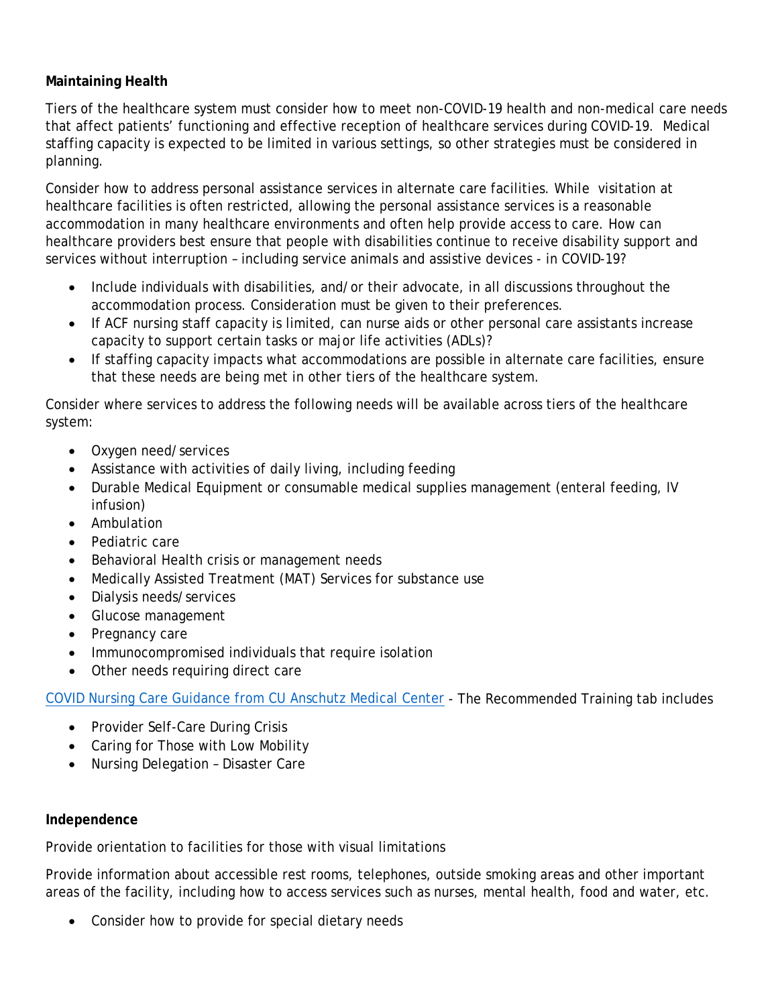## **Maintaining Health**

Tiers of the healthcare system must consider how to meet non-COVID-19 health and non-medical care needs that affect patients' functioning and effective reception of healthcare services during COVID-19. Medical staffing capacity is expected to be limited in various settings, so other strategies must be considered in planning.

Consider how to address personal assistance services in alternate care facilities. While visitation at healthcare facilities is often restricted, allowing the personal assistance services is a reasonable accommodation in many healthcare environments and often help provide access to care. How can healthcare providers best ensure that people with disabilities continue to receive disability support and services without interruption – including service animals and assistive devices - in COVID-19?

- Include individuals with disabilities, and/or their advocate, in all discussions throughout the accommodation process. Consideration must be given to their preferences.
- If ACF nursing staff capacity is limited, can nurse aids or other personal care assistants increase capacity to support certain tasks or major life activities (ADLs)?
- If staffing capacity impacts what accommodations are possible in alternate care facilities, ensure that these needs are being met in other tiers of the healthcare system.

Consider where services to address the following needs will be available across tiers of the healthcare system:

- Oxygen need/services
- Assistance with activities of daily living, including feeding
- Durable Medical Equipment or consumable medical supplies management (enteral feeding, IV infusion)
- Ambulation
- Pediatric care
- Behavioral Health crisis or management needs
- Medically Assisted Treatment (MAT) Services for substance use
- Dialysis needs/services
- Glucose management
- Pregnancy care
- Immunocompromised individuals that require isolation
- Other needs requiring direct care

[COVID Nursing Care Guidance from CU Anschutz Medical Center](https://nursing.cuanschutz.edu/coronavirus/covid-nursing-care) - The Recommended Training tab includes

- Provider Self-Care During Crisis
- Caring for Those with Low Mobility
- Nursing Delegation Disaster Care

#### **Independence**

Provide orientation to facilities for those with visual limitations

Provide information about accessible rest rooms, telephones, outside smoking areas and other important areas of the facility, including how to access services such as nurses, mental health, food and water, etc.

• Consider how to provide for special dietary needs